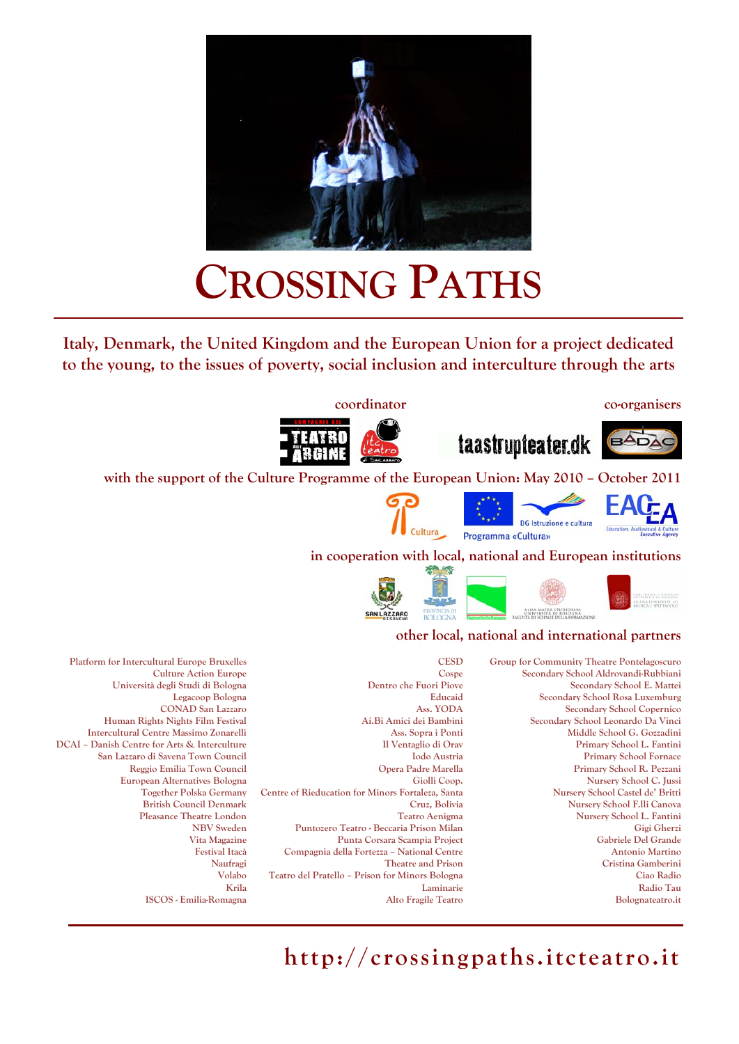

# **CROSSING PATHS**

**Italy, Denmark, the United Kingdom and the European Union for a project dedicated to the young, to the issues of poverty, social inclusion and interculture through the arts** 

#### **coordinator co-organisers**

BADA



**with the support of the Culture Programme of the European Union: May 2010 – October 2011** 

Cultura







taastrupteater.dk

**Group for Community Theatre Pontelagoscuro Secondary School Aldrovandi-Rubbiani Secondary School E. Mattei Secondary School Rosa Luxemburg Secondary School Copernico Secondary School Leonardo Da Vinci Middle School G. Gozzadini Primary School L. Fantini Primary School Fornace Primary School R. Pezzani Nursery School C. Jussi Nursery School Castel de' Britti Nursery School F.lli Canova Nursery School L. Fantini Gigi Gherzi Gabriele Del Grande Antonio Martino Cristina Gamberini Ciao Radio Radio Tau Bolognateatro.it** 

**CESD Cospe Dentro che Fuori Piove Educaid Ass. YODA Ai.Bi Amici dei Bambini Ass. Sopra i Ponti Il Ventaglio di Orav Iodo Austria Opera Padre Marella Giolli Coop. Centre of Rieducation for Minors Fortaleza, Santa Cruz, Bolivia Teatro Aenigma Puntozero Teatro - Beccaria Prison Milan Punta Corsara Scampia Project Compagnia della Fortezza – National Centre Theatre and Prison Teatro del Pratello – Prison for Minors Bologna Laminarie Alto Fragile Teatro** 

**Platform for Intercultural Europe Bruxelles Culture Action Europe Università degli Studi di Bologna Legacoop Bologna CONAD San Lazzaro Human Rights Nights Film Festival Intercultural Centre Massimo Zonarelli DCAI – Danish Centre for Arts & Interculture San Lazzaro di Savena Town Council Reggio Emilia Town Council European Alternatives Bologna Together Polska Germany British Council Denmark Pleasance Theatre London NBV Sweden Vita Magazine Festival Itacà Naufragi Volabo Krila ISCOS - Emilia-Romagna** 

**http://crossingpaths.itcteatro.it**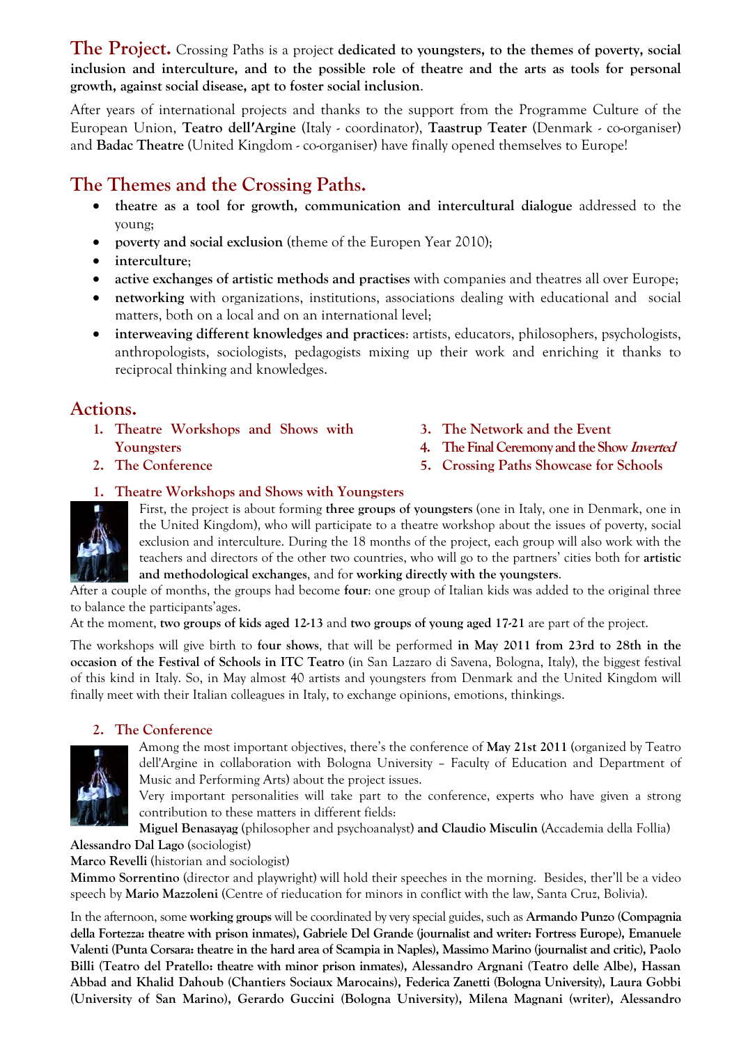**The Project.** Crossing Paths is a project **dedicated to youngsters, to the themes of poverty, social inclusion and interculture, and to the possible role of theatre and the arts as tools for personal growth, against social disease, apt to foster social inclusion**.

After years of international projects and thanks to the support from the Programme Culture of the European Union, **Teatro dell′Argine** (Italy - coordinator), **Taastrup Teater** (Denmark - co-organiser) and **Badac Theatre** (United Kingdom - co-organiser) have finally opened themselves to Europe!

# **The Themes and the Crossing Paths.**

- **theatre as a tool for growth, communication and intercultural dialogue** addressed to the young;
- **poverty and social exclusion** (theme of the Europen Year 2010);
- **interculture**;
- **active exchanges of artistic methods and practises** with companies and theatres all over Europe;
- **networking** with organizations, institutions, associations dealing with educational and social matters, both on a local and on an international level;
- **interweaving different knowledges and practices**: artists, educators, philosophers, psychologists, anthropologists, sociologists, pedagogists mixing up their work and enriching it thanks to reciprocal thinking and knowledges.

## **Actions.**

- **1. Theatre Workshops and Shows with Youngsters**
- **2. The Conference**
- **3. The Network and the Event**
- **4. The Final Ceremony and the Show Inverted**
- **5. Crossing Paths Showcase for Schools**

# **1. Theatre Workshops and Shows with Youngsters**



First, the project is about forming **three groups of youngsters** (one in Italy, one in Denmark, one in the United Kingdom), who will participate to a theatre workshop about the issues of poverty, social exclusion and interculture. During the 18 months of the project, each group will also work with the teachers and directors of the other two countries, who will go to the partners' cities both for **artistic and methodological exchanges**, and for **working directly with the youngsters**.

After a couple of months, the groups had become **four**: one group of Italian kids was added to the original three to balance the participants'ages.

At the moment, **two groups of kids aged 12-13** and **two groups of young aged 17-21** are part of the project.

The workshops will give birth to **four shows**, that will be performed **in May 2011 from 23rd to 28th in the occasion of the Festival of Schools in ITC Teatro** (in San Lazzaro di Savena, Bologna, Italy), the biggest festival of this kind in Italy. So, in May almost 40 artists and youngsters from Denmark and the United Kingdom will finally meet with their Italian colleagues in Italy, to exchange opinions, emotions, thinkings.

#### **2. The Conference**

Among the most important objectives, there's the conference of **May 21st 2011** (organized by Teatro dell'Argine in collaboration with Bologna University – Faculty of Education and Department of Music and Performing Arts) about the project issues.

Very important personalities will take part to the conference, experts who have given a strong contribution to these matters in different fields:

**Miguel Benasayag** (philosopher and psychoanalyst) **and Claudio Misculin** (Accademia della Follia)

**Alessandro Dal Lago** (sociologist)

**Marco Revelli** (historian and sociologist)

**Mimmo Sorrentino** (director and playwright) will hold their speeches in the morning. Besides, ther'll be a video speech by **Mario Mazzoleni** (Centre of rieducation for minors in conflict with the law, Santa Cruz, Bolivia).

In the afternoon, some **working groups** will be coordinated by very special guides, such as **Armando Punzo (Compagnia della Fortezza: theatre with prison inmates), Gabriele Del Grande (journalist and writer: Fortress Europe), Emanuele Valenti (Punta Corsara: theatre in the hard area of Scampia in Naples), Massimo Marino (journalist and critic), Paolo Billi (Teatro del Pratello: theatre with minor prison inmates), Alessandro Argnani (Teatro delle Albe), Hassan Abbad and Khalid Dahoub (Chantiers Sociaux Marocains), Federica Zanetti (Bologna University), Laura Gobbi (University of San Marino), Gerardo Guccini (Bologna University), Milena Magnani (writer), Alessandro**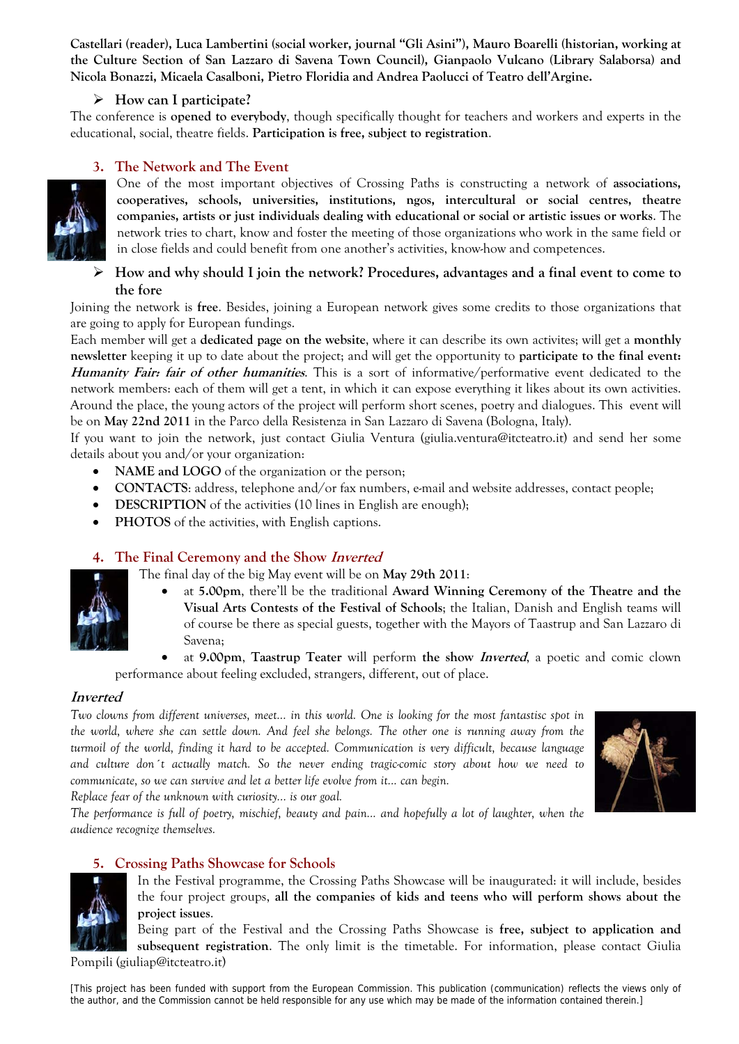**Castellari (reader), Luca Lambertini (social worker, journal "Gli Asini"), Mauro Boarelli (historian, working at the Culture Section of San Lazzaro di Savena Town Council), Gianpaolo Vulcano (Library Salaborsa) and Nicola Bonazzi, Micaela Casalboni, Pietro Floridia and Andrea Paolucci of Teatro dell'Argine.** 

#### ¾ **How can I participate?**

The conference is **opened to everybody**, though specifically thought for teachers and workers and experts in the educational, social, theatre fields. **Participation is free, subject to registration**.

#### **3. The Network and The Event**



One of the most important objectives of Crossing Paths is constructing a network of **associations, cooperatives, schools, universities, institutions, ngos, intercultural or social centres, theatre companies, artists or just individuals dealing with educational or social or artistic issues or works**. The network tries to chart, know and foster the meeting of those organizations who work in the same field or in close fields and could benefit from one another's activities, know-how and competences.

#### ¾ **How and why should I join the network? Procedures, advantages and a final event to come to the fore**

Joining the network is **free**. Besides, joining a European network gives some credits to those organizations that are going to apply for European fundings.

Each member will get a **dedicated page on the website**, where it can describe its own activites; will get a **monthly newsletter** keeping it up to date about the project; and will get the opportunity to **participate to the final event: Humanity Fair: fair of other humanities**. This is a sort of informative/performative event dedicated to the network members: each of them will get a tent, in which it can expose everything it likes about its own activities. Around the place, the young actors of the project will perform short scenes, poetry and dialogues. This event will be on **May 22nd 2011** in the Parco della Resistenza in San Lazzaro di Savena (Bologna, Italy).

If you want to join the network, just contact Giulia Ventura (giulia.ventura@itcteatro.it) and send her some details about you and/or your organization:

- NAME and LOGO of the organization or the person;
- **CONTACTS**: address, telephone and/or fax numbers, e-mail and website addresses, contact people;
- **DESCRIPTION** of the activities (10 lines in English are enough);
- **PHOTOS** of the activities, with English captions.

#### **4. The Final Ceremony and the Show Inverted**

The final day of the big May event will be on **May 29th 2011**:

- at **5.00pm**, there'll be the traditional **Award Winning Ceremony of the Theatre and the Visual Arts Contests of the Festival of Schools**; the Italian, Danish and English teams will of course be there as special guests, together with the Mayors of Taastrup and San Lazzaro di Savena;
- at **9.00pm**, **Taastrup Teater** will perform **the show Inverted**, a poetic and comic clown performance about feeling excluded, strangers, different, out of place.

#### **Inverted**

*Two clowns from different universes, meet... in this world. One is looking for the most fantastisc spot in the world, where she can settle down. And feel she belongs. The other one is running away from the turmoil of the world, finding it hard to be accepted. Communication is very difficult, because language and culture don´t actually match. So the never ending tragic-comic story about how we need to communicate, so we can survive and let a better life evolve from it... can begin.* 



*Replace fear of the unknown with curiosity... is our goal. The performance is full of poetry, mischief, beauty and pain... and hopefully a lot of laughter, when the* 

*audience recognize themselves.* 

#### **5. Crossing Paths Showcase for Schools**



In the Festival programme, the Crossing Paths Showcase will be inaugurated: it will include, besides the four project groups, **all the companies of kids and teens who will perform shows about the project issues**.

Being part of the Festival and the Crossing Paths Showcase is **free, subject to application and subsequent registration**. The only limit is the timetable. For information, please contact Giulia

Pompili (giuliap@itcteatro.it)

[This project has been funded with support from the European Commission. This publication (communication) reflects the views only of the author, and the Commission cannot be held responsible for any use which may be made of the information contained therein.]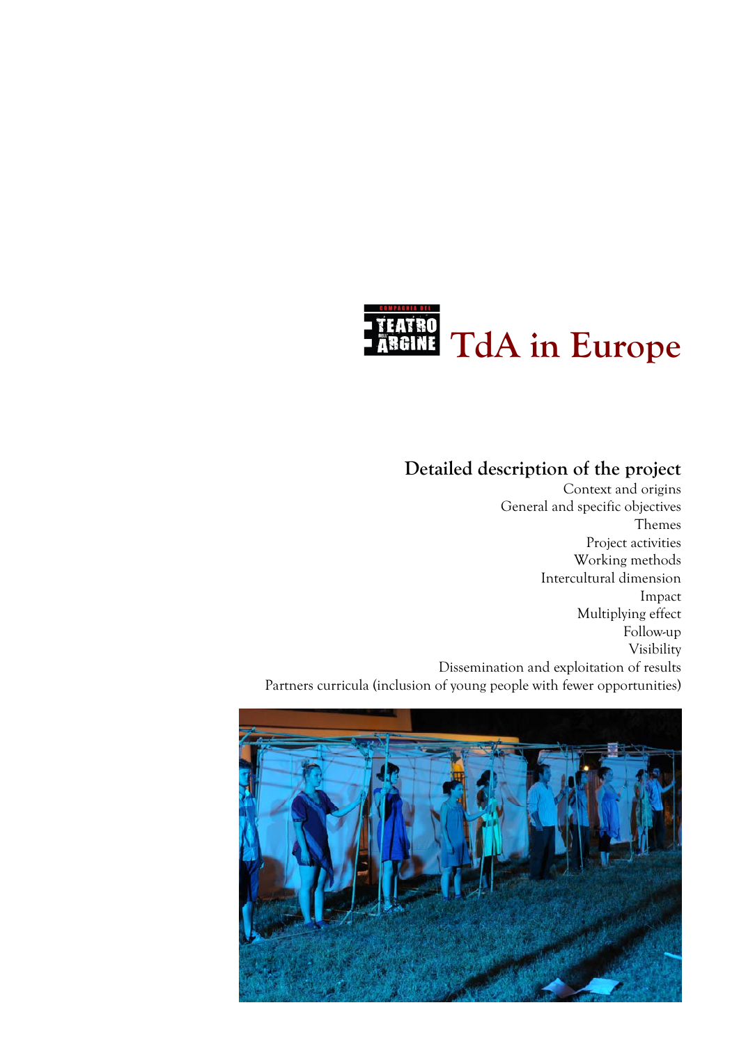

# **Detailed description of the project**

Context and origins General and specific objectives Themes Project activities Working methods Intercultural dimension Impact Multiplying effect Follow-up Visibility Dissemination and exploitation of results Partners curricula (inclusion of young people with fewer opportunities)

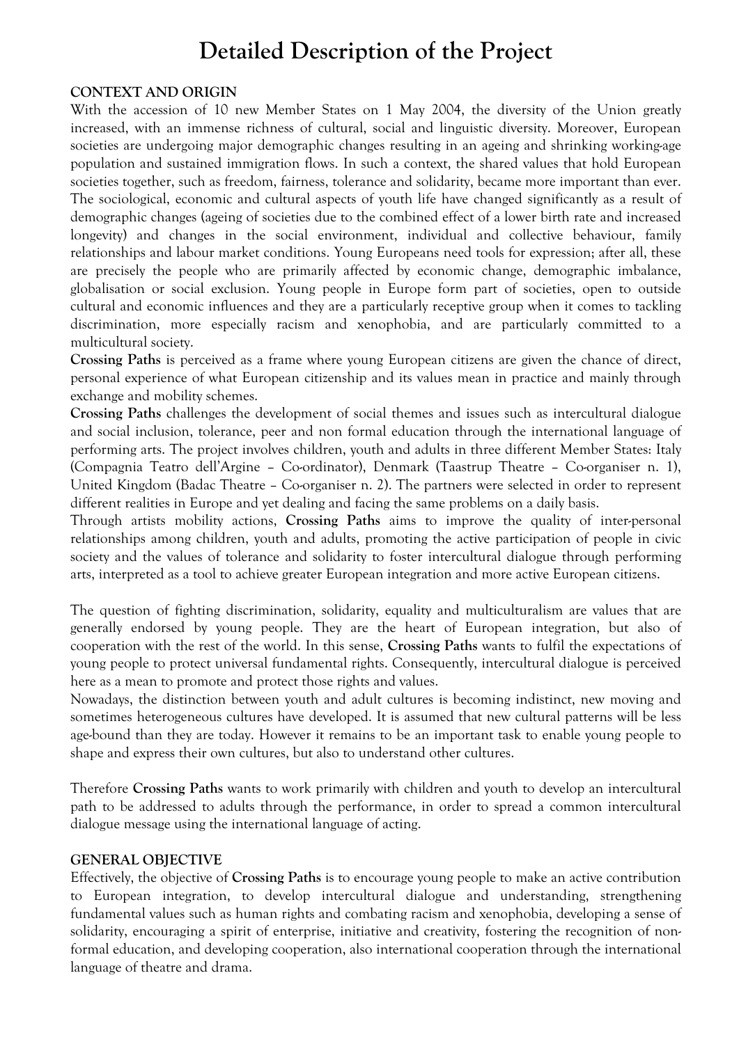# **Detailed Description of the Project**

#### **CONTEXT AND ORIGIN**

With the accession of 10 new Member States on 1 May 2004, the diversity of the Union greatly increased, with an immense richness of cultural, social and linguistic diversity. Moreover, European societies are undergoing major demographic changes resulting in an ageing and shrinking working-age population and sustained immigration flows. In such a context, the shared values that hold European societies together, such as freedom, fairness, tolerance and solidarity, became more important than ever. The sociological, economic and cultural aspects of youth life have changed significantly as a result of demographic changes (ageing of societies due to the combined effect of a lower birth rate and increased longevity) and changes in the social environment, individual and collective behaviour, family relationships and labour market conditions. Young Europeans need tools for expression; after all, these are precisely the people who are primarily affected by economic change, demographic imbalance, globalisation or social exclusion. Young people in Europe form part of societies, open to outside cultural and economic influences and they are a particularly receptive group when it comes to tackling discrimination, more especially racism and xenophobia, and are particularly committed to a multicultural society.

**Crossing Paths** is perceived as a frame where young European citizens are given the chance of direct, personal experience of what European citizenship and its values mean in practice and mainly through exchange and mobility schemes.

**Crossing Paths** challenges the development of social themes and issues such as intercultural dialogue and social inclusion, tolerance, peer and non formal education through the international language of performing arts. The project involves children, youth and adults in three different Member States: Italy (Compagnia Teatro dell'Argine – Co-ordinator), Denmark (Taastrup Theatre – Co-organiser n. 1), United Kingdom (Badac Theatre – Co-organiser n. 2). The partners were selected in order to represent different realities in Europe and yet dealing and facing the same problems on a daily basis.

Through artists mobility actions, **Crossing Paths** aims to improve the quality of inter-personal relationships among children, youth and adults, promoting the active participation of people in civic society and the values of tolerance and solidarity to foster intercultural dialogue through performing arts, interpreted as a tool to achieve greater European integration and more active European citizens.

The question of fighting discrimination, solidarity, equality and multiculturalism are values that are generally endorsed by young people. They are the heart of European integration, but also of cooperation with the rest of the world. In this sense, **Crossing Paths** wants to fulfil the expectations of young people to protect universal fundamental rights. Consequently, intercultural dialogue is perceived here as a mean to promote and protect those rights and values.

Nowadays, the distinction between youth and adult cultures is becoming indistinct, new moving and sometimes heterogeneous cultures have developed. It is assumed that new cultural patterns will be less age-bound than they are today. However it remains to be an important task to enable young people to shape and express their own cultures, but also to understand other cultures.

Therefore **Crossing Paths** wants to work primarily with children and youth to develop an intercultural path to be addressed to adults through the performance, in order to spread a common intercultural dialogue message using the international language of acting.

#### **GENERAL OBJECTIVE**

Effectively, the objective of **Crossing Paths** is to encourage young people to make an active contribution to European integration, to develop intercultural dialogue and understanding, strengthening fundamental values such as human rights and combating racism and xenophobia, developing a sense of solidarity, encouraging a spirit of enterprise, initiative and creativity, fostering the recognition of nonformal education, and developing cooperation, also international cooperation through the international language of theatre and drama.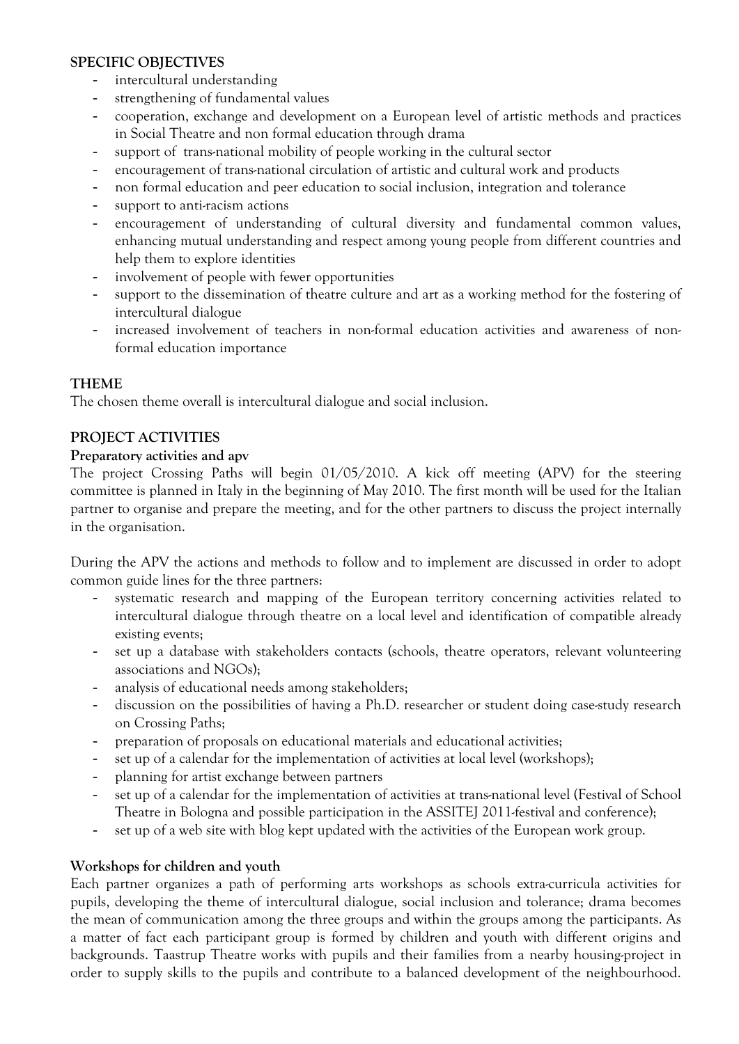#### **SPECIFIC OBJECTIVES**

- intercultural understanding
- strengthening of fundamental values
- cooperation, exchange and development on a European level of artistic methods and practices in Social Theatre and non formal education through drama
- support of trans-national mobility of people working in the cultural sector
- encouragement of trans-national circulation of artistic and cultural work and products
- non formal education and peer education to social inclusion, integration and tolerance
- support to anti-racism actions
- encouragement of understanding of cultural diversity and fundamental common values, enhancing mutual understanding and respect among young people from different countries and help them to explore identities
- involvement of people with fewer opportunities
- support to the dissemination of theatre culture and art as a working method for the fostering of intercultural dialogue
- increased involvement of teachers in non-formal education activities and awareness of nonformal education importance

#### **THEME**

The chosen theme overall is intercultural dialogue and social inclusion.

#### **PROJECT ACTIVITIES**

#### **Preparatory activities and apv**

The project Crossing Paths will begin 01/05/2010. A kick off meeting (APV) for the steering committee is planned in Italy in the beginning of May 2010. The first month will be used for the Italian partner to organise and prepare the meeting, and for the other partners to discuss the project internally in the organisation.

During the APV the actions and methods to follow and to implement are discussed in order to adopt common guide lines for the three partners:

- systematic research and mapping of the European territory concerning activities related to intercultural dialogue through theatre on a local level and identification of compatible already existing events;
- set up a database with stakeholders contacts (schools, theatre operators, relevant volunteering associations and NGOs);
- analysis of educational needs among stakeholders;
- discussion on the possibilities of having a Ph.D. researcher or student doing case-study research on Crossing Paths;
- preparation of proposals on educational materials and educational activities;
- set up of a calendar for the implementation of activities at local level (workshops);
- planning for artist exchange between partners
- set up of a calendar for the implementation of activities at trans-national level (Festival of School Theatre in Bologna and possible participation in the ASSITEJ 2011-festival and conference);
- set up of a web site with blog kept updated with the activities of the European work group.

#### **Workshops for children and youth**

Each partner organizes a path of performing arts workshops as schools extra-curricula activities for pupils, developing the theme of intercultural dialogue, social inclusion and tolerance; drama becomes the mean of communication among the three groups and within the groups among the participants. As a matter of fact each participant group is formed by children and youth with different origins and backgrounds. Taastrup Theatre works with pupils and their families from a nearby housing-project in order to supply skills to the pupils and contribute to a balanced development of the neighbourhood.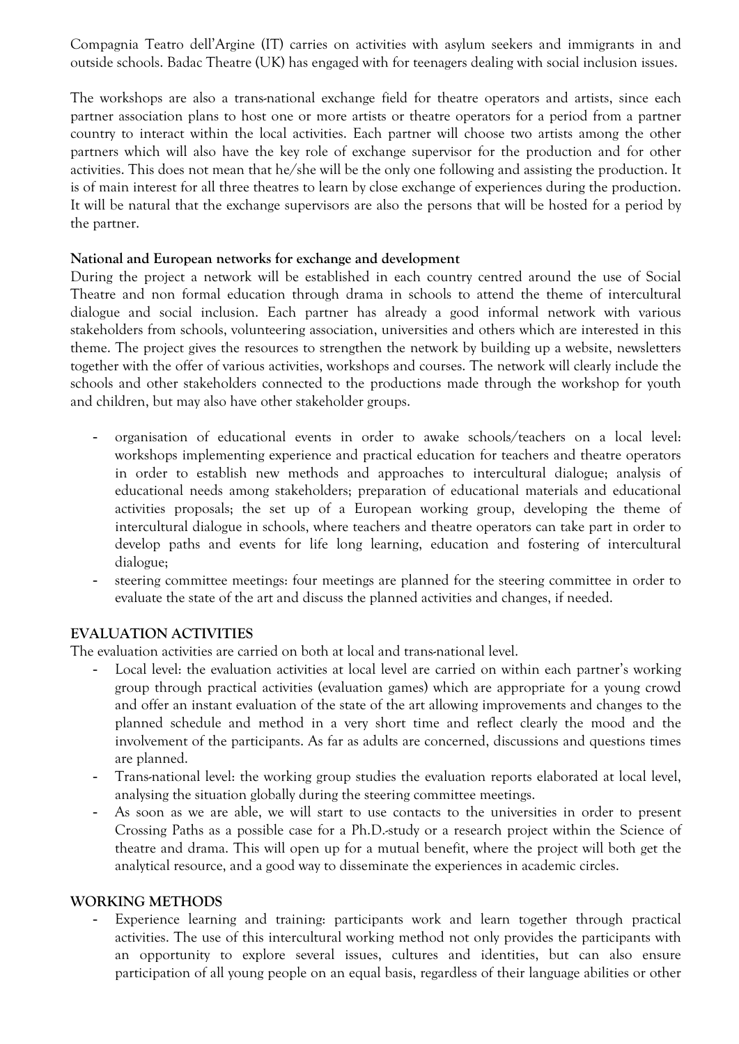Compagnia Teatro dell'Argine (IT) carries on activities with asylum seekers and immigrants in and outside schools. Badac Theatre (UK) has engaged with for teenagers dealing with social inclusion issues.

The workshops are also a trans-national exchange field for theatre operators and artists, since each partner association plans to host one or more artists or theatre operators for a period from a partner country to interact within the local activities. Each partner will choose two artists among the other partners which will also have the key role of exchange supervisor for the production and for other activities. This does not mean that he/she will be the only one following and assisting the production. It is of main interest for all three theatres to learn by close exchange of experiences during the production. It will be natural that the exchange supervisors are also the persons that will be hosted for a period by the partner.

#### **National and European networks for exchange and development**

During the project a network will be established in each country centred around the use of Social Theatre and non formal education through drama in schools to attend the theme of intercultural dialogue and social inclusion. Each partner has already a good informal network with various stakeholders from schools, volunteering association, universities and others which are interested in this theme. The project gives the resources to strengthen the network by building up a website, newsletters together with the offer of various activities, workshops and courses. The network will clearly include the schools and other stakeholders connected to the productions made through the workshop for youth and children, but may also have other stakeholder groups.

- organisation of educational events in order to awake schools/teachers on a local level: workshops implementing experience and practical education for teachers and theatre operators in order to establish new methods and approaches to intercultural dialogue; analysis of educational needs among stakeholders; preparation of educational materials and educational activities proposals; the set up of a European working group, developing the theme of intercultural dialogue in schools, where teachers and theatre operators can take part in order to develop paths and events for life long learning, education and fostering of intercultural dialogue;
- steering committee meetings: four meetings are planned for the steering committee in order to evaluate the state of the art and discuss the planned activities and changes, if needed.

#### **EVALUATION ACTIVITIES**

The evaluation activities are carried on both at local and trans-national level.

- Local level: the evaluation activities at local level are carried on within each partner's working group through practical activities (evaluation games) which are appropriate for a young crowd and offer an instant evaluation of the state of the art allowing improvements and changes to the planned schedule and method in a very short time and reflect clearly the mood and the involvement of the participants. As far as adults are concerned, discussions and questions times are planned.
- Trans-national level: the working group studies the evaluation reports elaborated at local level, analysing the situation globally during the steering committee meetings.
- As soon as we are able, we will start to use contacts to the universities in order to present Crossing Paths as a possible case for a Ph.D.-study or a research project within the Science of theatre and drama. This will open up for a mutual benefit, where the project will both get the analytical resource, and a good way to disseminate the experiences in academic circles.

#### **WORKING METHODS**

Experience learning and training: participants work and learn together through practical activities. The use of this intercultural working method not only provides the participants with an opportunity to explore several issues, cultures and identities, but can also ensure participation of all young people on an equal basis, regardless of their language abilities or other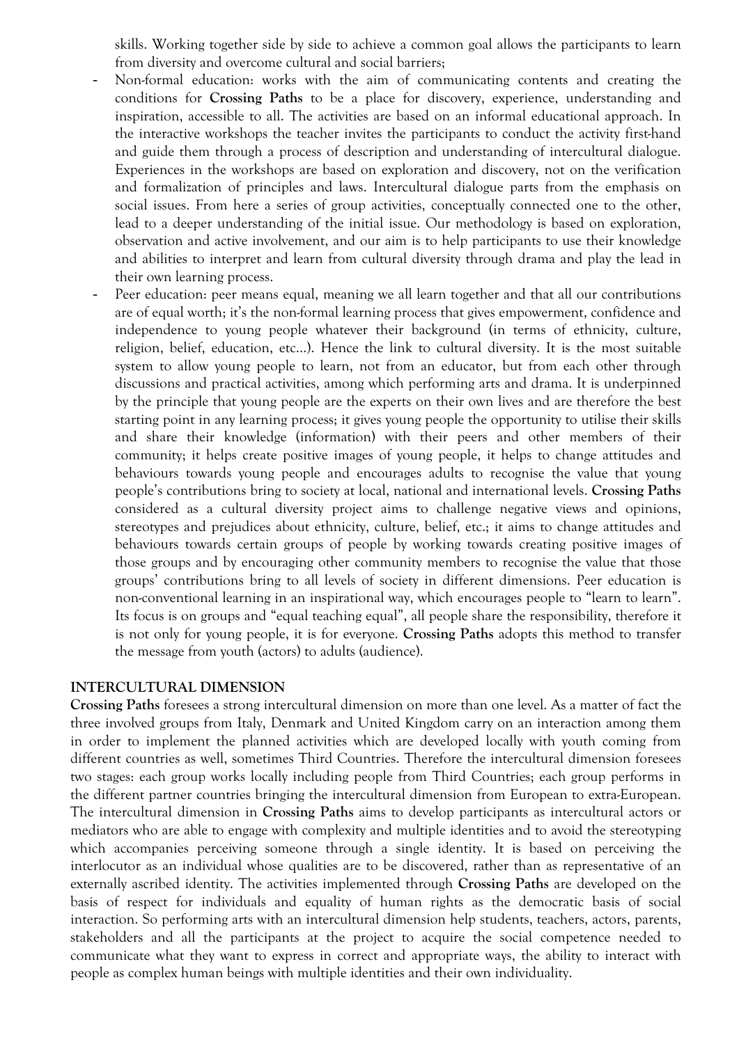skills. Working together side by side to achieve a common goal allows the participants to learn from diversity and overcome cultural and social barriers;

- Non-formal education: works with the aim of communicating contents and creating the conditions for **Crossing Paths** to be a place for discovery, experience, understanding and inspiration, accessible to all. The activities are based on an informal educational approach. In the interactive workshops the teacher invites the participants to conduct the activity first-hand and guide them through a process of description and understanding of intercultural dialogue. Experiences in the workshops are based on exploration and discovery, not on the verification and formalization of principles and laws. Intercultural dialogue parts from the emphasis on social issues. From here a series of group activities, conceptually connected one to the other, lead to a deeper understanding of the initial issue. Our methodology is based on exploration, observation and active involvement, and our aim is to help participants to use their knowledge and abilities to interpret and learn from cultural diversity through drama and play the lead in their own learning process.
- Peer education: peer means equal, meaning we all learn together and that all our contributions are of equal worth; it's the non-formal learning process that gives empowerment, confidence and independence to young people whatever their background (in terms of ethnicity, culture, religion, belief, education, etc…). Hence the link to cultural diversity. It is the most suitable system to allow young people to learn, not from an educator, but from each other through discussions and practical activities, among which performing arts and drama. It is underpinned by the principle that young people are the experts on their own lives and are therefore the best starting point in any learning process; it gives young people the opportunity to utilise their skills and share their knowledge (information) with their peers and other members of their community; it helps create positive images of young people, it helps to change attitudes and behaviours towards young people and encourages adults to recognise the value that young people's contributions bring to society at local, national and international levels. **Crossing Paths**  considered as a cultural diversity project aims to challenge negative views and opinions, stereotypes and prejudices about ethnicity, culture, belief, etc.; it aims to change attitudes and behaviours towards certain groups of people by working towards creating positive images of those groups and by encouraging other community members to recognise the value that those groups' contributions bring to all levels of society in different dimensions. Peer education is non-conventional learning in an inspirational way, which encourages people to "learn to learn". Its focus is on groups and "equal teaching equal", all people share the responsibility, therefore it is not only for young people, it is for everyone. **Crossing Paths** adopts this method to transfer the message from youth (actors) to adults (audience).

#### **INTERCULTURAL DIMENSION**

**Crossing Paths** foresees a strong intercultural dimension on more than one level. As a matter of fact the three involved groups from Italy, Denmark and United Kingdom carry on an interaction among them in order to implement the planned activities which are developed locally with youth coming from different countries as well, sometimes Third Countries. Therefore the intercultural dimension foresees two stages: each group works locally including people from Third Countries; each group performs in the different partner countries bringing the intercultural dimension from European to extra-European. The intercultural dimension in **Crossing Paths** aims to develop participants as intercultural actors or mediators who are able to engage with complexity and multiple identities and to avoid the stereotyping which accompanies perceiving someone through a single identity. It is based on perceiving the interlocutor as an individual whose qualities are to be discovered, rather than as representative of an externally ascribed identity. The activities implemented through **Crossing Paths** are developed on the basis of respect for individuals and equality of human rights as the democratic basis of social interaction. So performing arts with an intercultural dimension help students, teachers, actors, parents, stakeholders and all the participants at the project to acquire the social competence needed to communicate what they want to express in correct and appropriate ways, the ability to interact with people as complex human beings with multiple identities and their own individuality.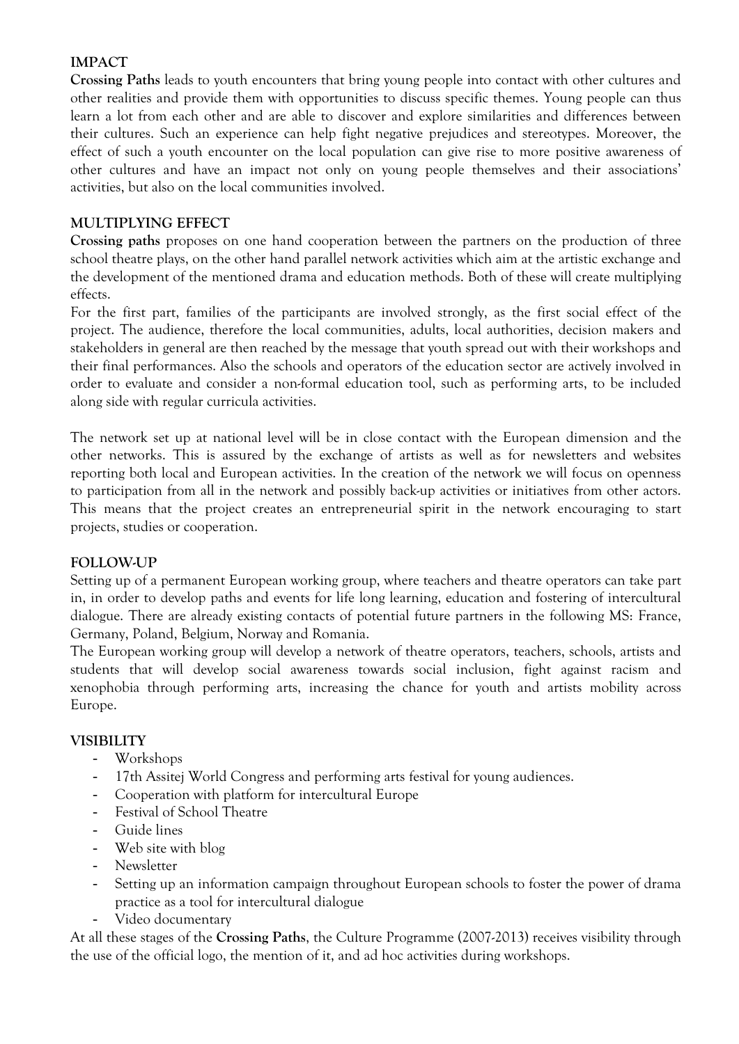#### **IMPACT**

**Crossing Paths** leads to youth encounters that bring young people into contact with other cultures and other realities and provide them with opportunities to discuss specific themes. Young people can thus learn a lot from each other and are able to discover and explore similarities and differences between their cultures. Such an experience can help fight negative prejudices and stereotypes. Moreover, the effect of such a youth encounter on the local population can give rise to more positive awareness of other cultures and have an impact not only on young people themselves and their associations' activities, but also on the local communities involved.

#### **MULTIPLYING EFFECT**

**Crossing paths** proposes on one hand cooperation between the partners on the production of three school theatre plays, on the other hand parallel network activities which aim at the artistic exchange and the development of the mentioned drama and education methods. Both of these will create multiplying effects.

For the first part, families of the participants are involved strongly, as the first social effect of the project. The audience, therefore the local communities, adults, local authorities, decision makers and stakeholders in general are then reached by the message that youth spread out with their workshops and their final performances. Also the schools and operators of the education sector are actively involved in order to evaluate and consider a non-formal education tool, such as performing arts, to be included along side with regular curricula activities.

The network set up at national level will be in close contact with the European dimension and the other networks. This is assured by the exchange of artists as well as for newsletters and websites reporting both local and European activities. In the creation of the network we will focus on openness to participation from all in the network and possibly back-up activities or initiatives from other actors. This means that the project creates an entrepreneurial spirit in the network encouraging to start projects, studies or cooperation.

#### **FOLLOW-UP**

Setting up of a permanent European working group, where teachers and theatre operators can take part in, in order to develop paths and events for life long learning, education and fostering of intercultural dialogue. There are already existing contacts of potential future partners in the following MS: France, Germany, Poland, Belgium, Norway and Romania.

The European working group will develop a network of theatre operators, teachers, schools, artists and students that will develop social awareness towards social inclusion, fight against racism and xenophobia through performing arts, increasing the chance for youth and artists mobility across Europe.

#### **VISIBILITY**

- Workshops
- 17th Assitej World Congress and performing arts festival for young audiences.
- Cooperation with platform for intercultural Europe
- Festival of School Theatre
- Guide lines
- Web site with blog
- Newsletter
- Setting up an information campaign throughout European schools to foster the power of drama practice as a tool for intercultural dialogue
- Video documentary

At all these stages of the **Crossing Paths**, the Culture Programme (2007-2013) receives visibility through the use of the official logo, the mention of it, and ad hoc activities during workshops.